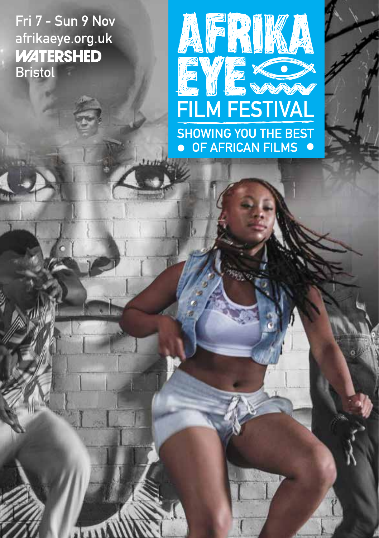Fri 7 - Sun 9 Nov afrikaeye.org.uk<br>WATERSHED Bristol

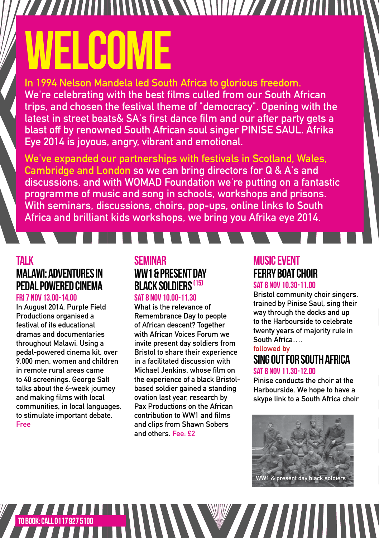# WWWW/// ELCOME

In 1994 Nelson Mandela led South Africa to glorious freedom. We're celebrating with the best films culled from our South African trips, and chosen the festival theme of "democracy". Opening with the latest in street beats& SA's first dance film and our after party gets a blast off by renowned South African soul singer PINISE SAUL. Afrika Eye 2014 is joyous, angry, vibrant and emotional.

We've expanded our partnerships with festivals in Scotland, Wales, Cambridge and London so we can bring directors for Q & A's and discussions, and with WOMAD Foundation we're putting on a fantastic programme of music and song in schools, workshops and prisons. With seminars, discussions, choirs, pop-ups, online links to South Africa and brilliant kids workshops, we bring you Afrika eye 2014.

# Talk Malawi: Adventures in Pedal Powered cinema

#### Fri 7 Nov 13.00-14.00

In August 2014, Purple Field Productions organised a festival of its educational dramas and documentaries throughout Malawi. Using a pedal-powered cinema kit, over 9,000 men, women and children in remote rural areas came to 40 screenings. George Salt talks about the 6-week journey and making films with local communities, in local languages, to stimulate important debate. Free

# **SEMINAR** WW1 & PRESENT DAY black soldiers (15)

#### SAT 8 NOV 10.00-11.30

What is the relevance of Remembrance Day to people of African descent? Together with African Voices Forum we invite present day soldiers from Bristol to share their experience in a facilitated discussion with Michael Jenkins, whose film on the experience of a black Bristolbased soldier gained a standing ovation last year, research by Pax Productions on the African contribution to WW1 and films and clips from Shawn Sobers and others. Fee: £2

#### Music Event Ferry Boat Choir SAT 8 NOV 10.30-11.00

Bristol community choir singers, trained by Pinise Saul, sing their way through the docks and up to the Harbourside to celebrate twenty years of majority rule in South Africa….

#### followed by

### Sing Out for South Africa SAT 8 NOV 11 30-12 00

Pinise conducts the choir at the Harbourside. We hope to have a skype link to a South Africa choir



TO BOOK: CALL 01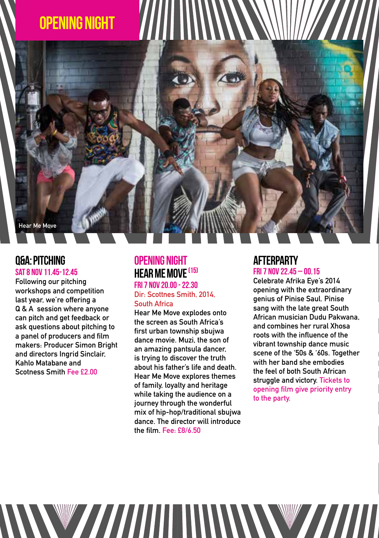

### Q&A: Pitching Sat 8 Nov 11.45-12.45

Following our pitching workshops and competition last year, we're offering a Q & A session where anyone can pitch and get feedback or ask questions about pitching to a panel of producers and film makers: Producer Simon Bright and directors Ingrid Sinclair, Kahlo Matabane and Scotness Smith Fee £2.00

# Opening Night HEAR ME MOVE <sup>(15)</sup>

Fri 7 Nov 20.00 - 22.30 Dir: Scottnes Smith, 2014, South Africa

Hear Me Move explodes onto the screen as South Africa's first urban township sbujwa dance movie. Muzi, the son of an amazing pantsula dancer, is trying to discover the truth about his father's life and death. Hear Me Move explores themes of family, loyalty and heritage while taking the audience on a journey through the wonderful mix of hip-hop/traditional sbujwa dance. The director will introduce the film. Fee: £8/6.50

WWW.77777711111111WWWW7777777711111

#### **AFTERPARTY** Fri 7 Nov 22.45 – 00.15

Celebrate Afrika Eye's 2014 opening with the extraordinary genius of Pinise Saul. Pinise sang with the late great South African musician Dudu Pakwana, and combines her rural Xhosa roots with the influence of the vibrant township dance music scene of the '50s & '60s. Together with her band she embodies the feel of both South African struggle and victory. Tickets to opening film give priority entry to the party.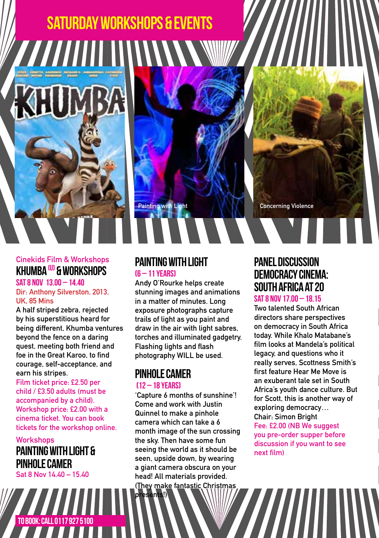# Saturday workshops & EVENTS

Cinekids Film & Workshops KHIIMRA  $\textcircled{\textsf{u}}$  & workshops

SAT 8 NOV 13 00 - 14 40 Dir: Anthony Silverston, 2013, UK, 85 Mins

A half striped zebra, rejected by his superstitious heard for being different, Khumba ventures beyond the fence on a daring quest, meeting both friend and foe in the Great Karoo, to find courage, self-acceptance, and earn his stripes.

Film ticket price: £2.50 per child / £3.50 adults (must be accompanied by a child). Workshop price: £2.00 with a cinema ticket. You can book tickets for the workshop online.

**Workshops** Painting With Light & Pinhole Camer Sat 8 Nov 14.40 – 15.40

#### PAINTING WITH LIGHT (6 – 11 years)

Andy O'Rourke helps create stunning images and animations in a matter of minutes. Long exposure photographs capture trails of light as you paint and draw in the air with light sabres, torches and illuminated gadgetry. Flashing lights and flash photography WILL be used.

Painting with Light Concerning Violence

# Pinhole Camer

#### (12 – 18 years)

esents!)

'Capture 6 months of sunshine'! Come and work with Justin Quinnel to make a pinhole camera which can take a 6 month image of the sun crossing the sky. Then have some fun seeing the world as it should be seen, upside down, by wearing a giant camera obscura on your head! All materials provided. (They make fantastic Christmas

# Panel Discussion Democracy Cinema: South Africa at 20

#### Sat 8 Nov 17.00 – 18.15

Two talented South African directors share perspectives on democracy in South Africa today. While Khalo Matabane's film looks at Mandela's political legacy, and questions who it really serves, Scottness Smith's first feature Hear Me Move is an exuberant tale set in South Africa's youth dance culture. But for Scott, this is another way of exploring democracy… Chair: Simon Bright Fee: £2.00 (NB We suggest

you pre-order supper before discussion if you want to see next film)

To book: call 0117 927 5100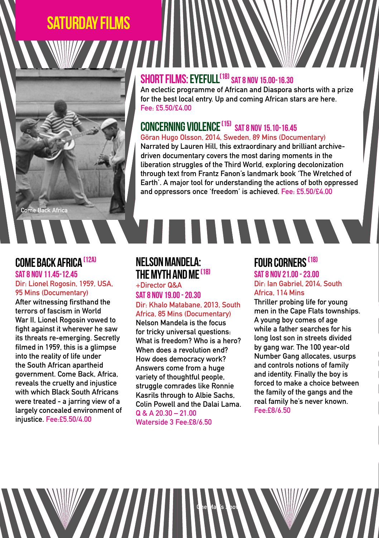# Saturday FILMS



# SHORT FILMS: EYEFULL<sup>(18)</sup> SAT 8 NOV 15.00-16.30

An eclectic programme of African and Diaspora shorts with a prize for the best local entry. Up and coming African stars are here. Fee: £5.50/£4.00

# CONCERNING VIOLENCE<sup>(15)</sup> SAT 8 NOV 15.10-16.45

Göran Hugo Olsson, 2014, Sweden, 89 Mins (Documentary) Narrated by Lauren Hill, this extraordinary and brilliant archivedriven documentary covers the most daring moments in the liberation struggles of the Third World, exploring decolonization through text from Frantz Fanon's landmark book 'The Wretched of Earth'. A major tool for understanding the actions of both oppressed and oppressors once 'freedom' is achieved. Fee: £5.50/£4.00

#### Come Back Africa (12A) SAT 8 NOV 11 45-12 45

#### Dir: Lionel Rogosin, 1959, USA, 95 Mins (Documentary)

After witnessing firsthand the terrors of fascism in World War II, Lionel Rogosin vowed to fight against it wherever he saw its threats re-emerging. Secretly filmed in 1959, this is a glimpse into the reality of life under the South African apartheid government. Come Back, Africa, reveals the cruelty and injustice with which Black South Africans were treated - a jarring view of a largely concealed environment of injustice. Fee:£5.50/4.00

# Nelson Mandela: THE MYTH AND ME <sup>(18)</sup>

+Director Q&A SAT 8 NOV 19 00 - 20.30 Dir: Khalo Matabane, 2013, South Africa, 85 Mins (Documentary) Nelson Mandela is the focus

for tricky universal questions: What is freedom? Who is a hero? When does a revolution end? How does democracy work? Answers come from a huge variety of thoughtful people, struggle comrades like Ronnie Kasrils through to Albie Sachs, Colin Powell and the Dalai Lama. Q & A 20.30 – 21.00 Waterside 3 Fee:£8/6.50

One Man's Show

# **FOUR CORNERS<sup>(18)</sup>**

**TITTITITI** 

SAT 8 NOV 21 00 - 23.00 Dir: Ian Gabriel, 2014, South Africa, 114 Mins

Thriller probing life for young men in the Cape Flats townships. A young boy comes of age while a father searches for his long lost son in streets divided by gang war. The 100 year-old Number Gang allocates, usurps and controls notions of family and identity. Finally the boy is forced to make a choice between the family of the gangs and the real family he's never known. Fee:£8/6.50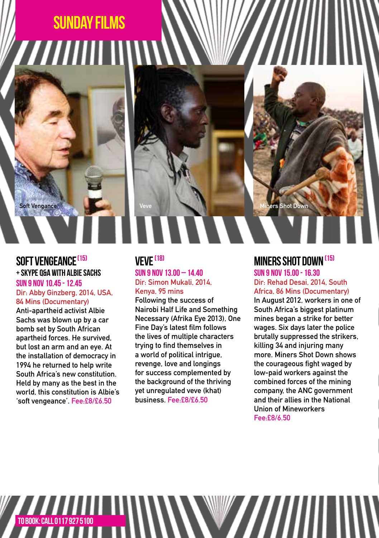# SUNDAY films //////////

Soft Vengance

## SOFT VENGEANCE<sup>(15)</sup> + Skype Q&A with Albie Sachs

#### Sun 9 Nov 10.45 - 12.45 Dir: Abby Ginzberg, 2014, USA, 84 Mins (Documentary)

Anti-apartheid activist Albie Sachs was blown up by a car bomb set by South African apartheid forces. He survived, but lost an arm and an eye. At the installation of democracy in 1994 he returned to help write South Africa's new constitution. Held by many as the best in the world, this constitution is Albie's 'soft vengeance'. Fee:£8/£6.50

#### VFVF<sup>(18)</sup>  $S$ IIN 9 NOV 13 00 – 14 40 Dir: Simon Mukali, 2014, Kenya, 95 mins

Following the success of Nairobi Half Life and Something Necessary (Afrika Eye 2013), One Fine Day's latest film follows the lives of multiple characters trying to find themselves in a world of political intrigue, revenge, love and longings for success complemented by the background of the thriving yet unregulated veve (khat) business. Fee:£8/£6.50

# MINERS SHOT DOWN (15)

ers Shot Do

Sun 9 Nov 15.00 - 16.30 Dir: Rehad Desai, 2014, South Africa, 86 Mins (Documentary) In August 2012, workers in one of South Africa's biggest platinum mines began a strike for better wages. Six days later the police brutally suppressed the strikers, killing 34 and injuring many more. Miners Shot Down shows the courageous fight waged by low-paid workers against the combined forces of the mining company, the ANC government and their allies in the National Union of Mineworkers Fee:£8/6.50

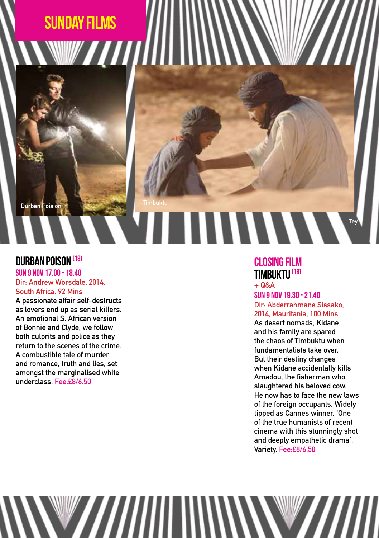# SUNDAY FILMs *MIIII*

Durban Poision

# DURBAN POISON <sup>(18)</sup>

SUN 9 NOV 17 00 - 18 40 Dir: Andrew Worsdale, 2014, South Africa, 92 Mins

A passionate affair self-destructs as lovers end up as serial killers. An emotional S. African version of Bonnie and Clyde, we follow both culprits and police as they return to the scenes of the crime. A combustible tale of murder and romance, truth and lies, set amongst the marginalised white underclass. Fee:£8/6.50

WAANIII

# Closing film Timbuktu (18)

**HIIIIIIII** 

 $+$  Q&A Sun 9 Nov 19.30 - 21.40 Dir: Abderrahmane Sissako, 2014, Mauritania, 100 Mins

**Tev** 

As desert nomads, Kidane and his family are spared the chaos of Timbuktu when fundamentalists take over. But their destiny changes when Kidane accidentally kills Amadou, the fisherman who slaughtered his beloved cow. He now has to face the new laws of the foreign occupants. Widely tipped as Cannes winner. 'One of the true humanists of recent cinema with this stunningly shot and deeply empathetic drama'. Variety. Fee:£8/6.50